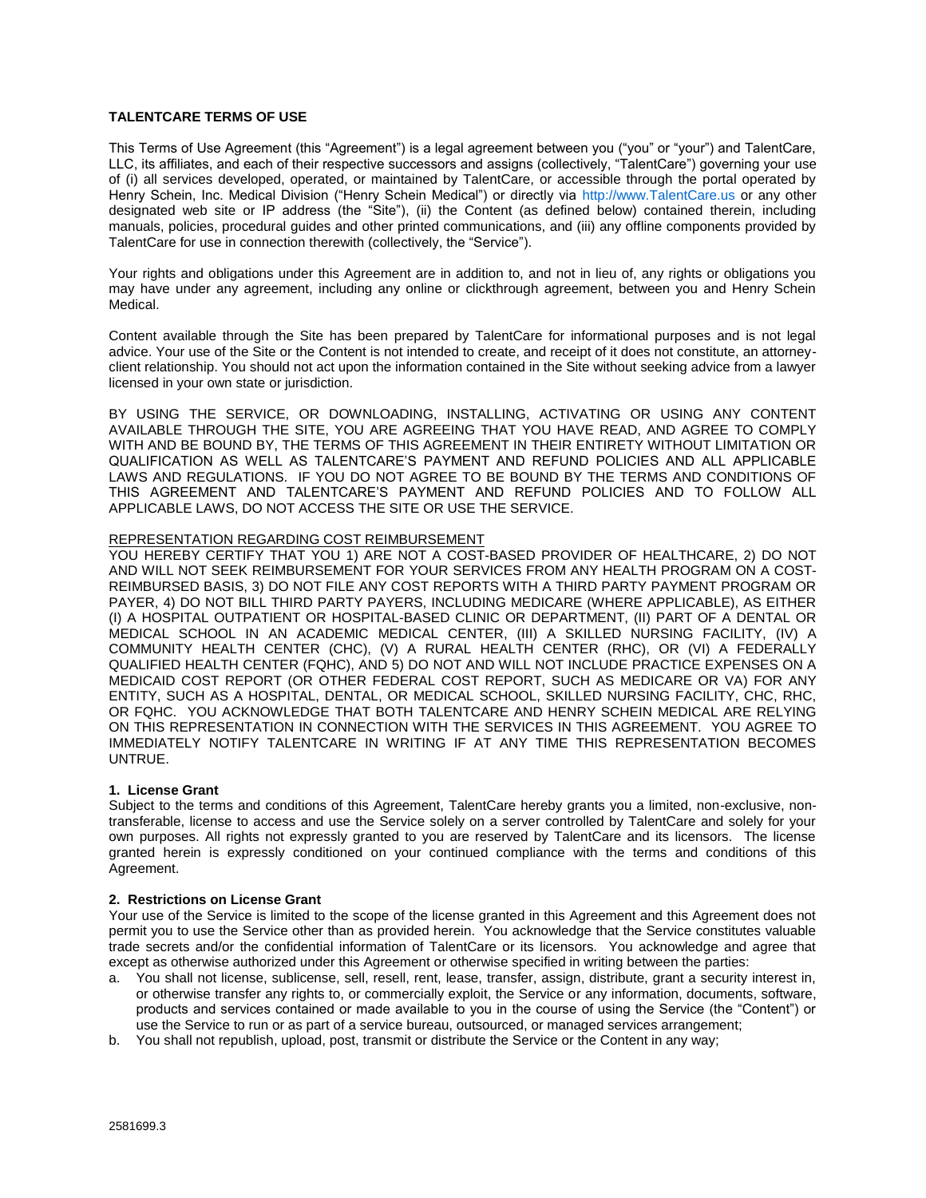# **TALENTCARE TERMS OF USE**

This Terms of Use Agreement (this "Agreement") is a legal agreement between you ("you" or "your") and TalentCare, LLC, its affiliates, and each of their respective successors and assigns (collectively, "TalentCare") governing your use of (i) all services developed, operated, or maintained by TalentCare, or accessible through the portal operated by Henry Schein, Inc. Medical Division ("Henry Schein Medical") or directly via http://www.TalentCare.us or any other designated web site or IP address (the "Site"), (ii) the Content (as defined below) contained therein, including manuals, policies, procedural guides and other printed communications, and (iii) any offline components provided by TalentCare for use in connection therewith (collectively, the "Service").

Your rights and obligations under this Agreement are in addition to, and not in lieu of, any rights or obligations you may have under any agreement, including any online or clickthrough agreement, between you and Henry Schein Medical.

Content available through the Site has been prepared by TalentCare for informational purposes and is not legal advice. Your use of the Site or the Content is not intended to create, and receipt of it does not constitute, an attorneyclient relationship. You should not act upon the information contained in the Site without seeking advice from a lawyer licensed in your own state or jurisdiction.

BY USING THE SERVICE, OR DOWNLOADING, INSTALLING, ACTIVATING OR USING ANY CONTENT AVAILABLE THROUGH THE SITE, YOU ARE AGREEING THAT YOU HAVE READ, AND AGREE TO COMPLY WITH AND BE BOUND BY, THE TERMS OF THIS AGREEMENT IN THEIR ENTIRETY WITHOUT LIMITATION OR QUALIFICATION AS WELL AS TALENTCARE'S PAYMENT AND REFUND POLICIES AND ALL APPLICABLE LAWS AND REGULATIONS. IF YOU DO NOT AGREE TO BE BOUND BY THE TERMS AND CONDITIONS OF THIS AGREEMENT AND TALENTCARE'S PAYMENT AND REFUND POLICIES AND TO FOLLOW ALL APPLICABLE LAWS, DO NOT ACCESS THE SITE OR USE THE SERVICE.

#### REPRESENTATION REGARDING COST REIMBURSEMENT

YOU HEREBY CERTIFY THAT YOU 1) ARE NOT A COST-BASED PROVIDER OF HEALTHCARE, 2) DO NOT AND WILL NOT SEEK REIMBURSEMENT FOR YOUR SERVICES FROM ANY HEALTH PROGRAM ON A COST-REIMBURSED BASIS, 3) DO NOT FILE ANY COST REPORTS WITH A THIRD PARTY PAYMENT PROGRAM OR PAYER, 4) DO NOT BILL THIRD PARTY PAYERS, INCLUDING MEDICARE (WHERE APPLICABLE), AS EITHER (I) A HOSPITAL OUTPATIENT OR HOSPITAL-BASED CLINIC OR DEPARTMENT, (II) PART OF A DENTAL OR MEDICAL SCHOOL IN AN ACADEMIC MEDICAL CENTER, (III) A SKILLED NURSING FACILITY, (IV) A COMMUNITY HEALTH CENTER (CHC), (V) A RURAL HEALTH CENTER (RHC), OR (VI) A FEDERALLY QUALIFIED HEALTH CENTER (FQHC), AND 5) DO NOT AND WILL NOT INCLUDE PRACTICE EXPENSES ON A MEDICAID COST REPORT (OR OTHER FEDERAL COST REPORT, SUCH AS MEDICARE OR VA) FOR ANY ENTITY, SUCH AS A HOSPITAL, DENTAL, OR MEDICAL SCHOOL, SKILLED NURSING FACILITY, CHC, RHC, OR FQHC. YOU ACKNOWLEDGE THAT BOTH TALENTCARE AND HENRY SCHEIN MEDICAL ARE RELYING ON THIS REPRESENTATION IN CONNECTION WITH THE SERVICES IN THIS AGREEMENT. YOU AGREE TO IMMEDIATELY NOTIFY TALENTCARE IN WRITING IF AT ANY TIME THIS REPRESENTATION BECOMES UNTRUE.

#### **1. License Grant**

Subject to the terms and conditions of this Agreement, TalentCare hereby grants you a limited, non-exclusive, nontransferable, license to access and use the Service solely on a server controlled by TalentCare and solely for your own purposes. All rights not expressly granted to you are reserved by TalentCare and its licensors. The license granted herein is expressly conditioned on your continued compliance with the terms and conditions of this Agreement.

#### **2. Restrictions on License Grant**

Your use of the Service is limited to the scope of the license granted in this Agreement and this Agreement does not permit you to use the Service other than as provided herein. You acknowledge that the Service constitutes valuable trade secrets and/or the confidential information of TalentCare or its licensors. You acknowledge and agree that except as otherwise authorized under this Agreement or otherwise specified in writing between the parties:

- a. You shall not license, sublicense, sell, resell, rent, lease, transfer, assign, distribute, grant a security interest in, or otherwise transfer any rights to, or commercially exploit, the Service or any information, documents, software, products and services contained or made available to you in the course of using the Service (the "Content") or use the Service to run or as part of a service bureau, outsourced, or managed services arrangement;
- b. You shall not republish, upload, post, transmit or distribute the Service or the Content in any way;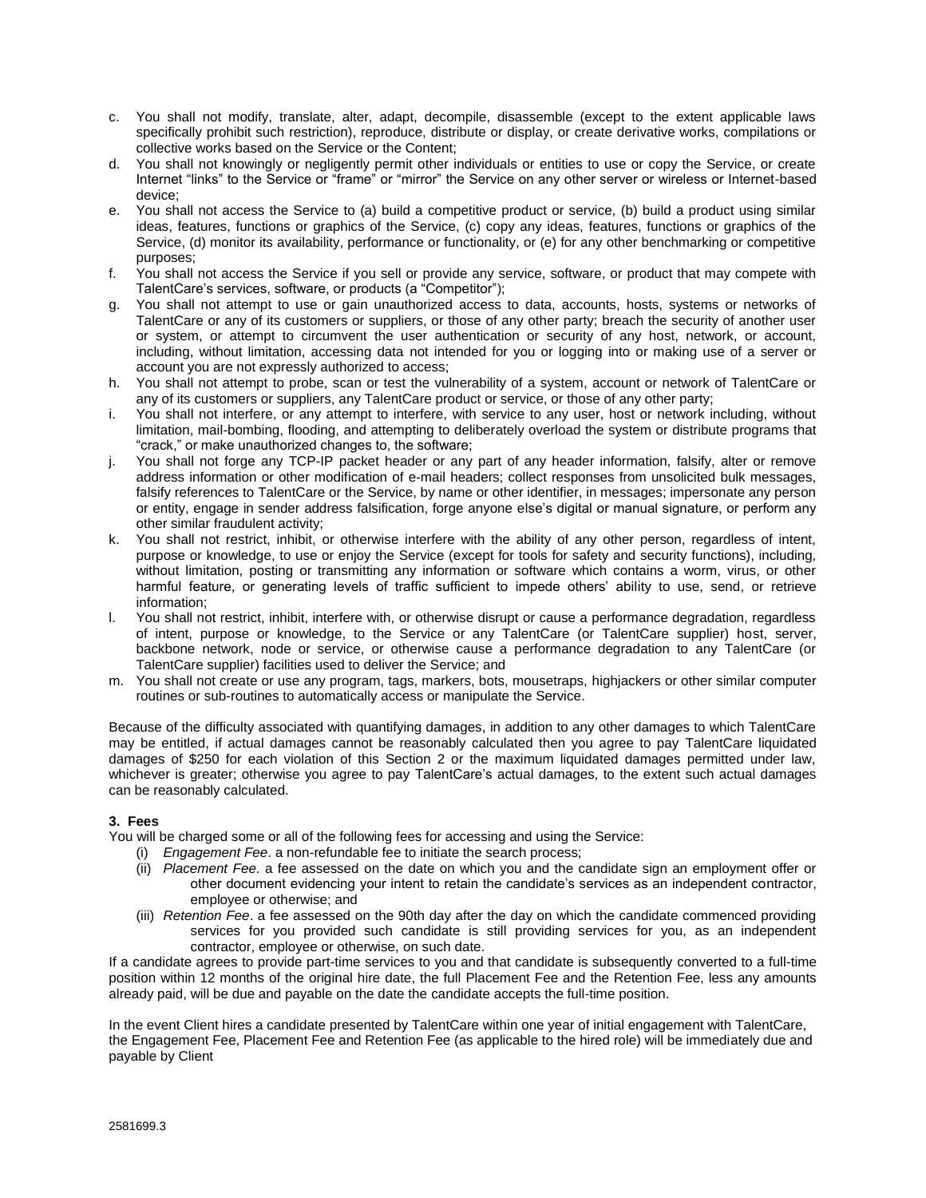- c. You shall not modify, translate, alter, adapt, decompile, disassemble (except to the extent applicable laws specifically prohibit such restriction), reproduce, distribute or display, or create derivative works, compilations or collective works based on the Service or the Content;
- d. You shall not knowingly or negligently permit other individuals or entities to use or copy the Service, or create Internet "links" to the Service or "frame" or "mirror" the Service on any other server or wireless or Internet-based device;
- e. You shall not access the Service to (a) build a competitive product or service, (b) build a product using similar ideas, features, functions or graphics of the Service, (c) copy any ideas, features, functions or graphics of the Service, (d) monitor its availability, performance or functionality, or (e) for any other benchmarking or competitive purposes;
- f. You shall not access the Service if you sell or provide any service, software, or product that may compete with TalentCare's services, software, or products (a "Competitor");
- g. You shall not attempt to use or gain unauthorized access to data, accounts, hosts, systems or networks of TalentCare or any of its customers or suppliers, or those of any other party; breach the security of another user or system, or attempt to circumvent the user authentication or security of any host, network, or account, including, without limitation, accessing data not intended for you or logging into or making use of a server or account you are not expressly authorized to access;
- h. You shall not attempt to probe, scan or test the vulnerability of a system, account or network of TalentCare or any of its customers or suppliers, any TalentCare product or service, or those of any other party;
- i. You shall not interfere, or any attempt to interfere, with service to any user, host or network including, without limitation, mail-bombing, flooding, and attempting to deliberately overload the system or distribute programs that "crack," or make unauthorized changes to, the software;
- j. You shall not forge any TCP-IP packet header or any part of any header information, falsify, alter or remove address information or other modification of e-mail headers; collect responses from unsolicited bulk messages, falsify references to TalentCare or the Service, by name or other identifier, in messages; impersonate any person or entity, engage in sender address falsification, forge anyone else's digital or manual signature, or perform any other similar fraudulent activity;
- k. You shall not restrict, inhibit, or otherwise interfere with the ability of any other person, regardless of intent, purpose or knowledge, to use or enjoy the Service (except for tools for safety and security functions), including, without limitation, posting or transmitting any information or software which contains a worm, virus, or other harmful feature, or generating levels of traffic sufficient to impede others' ability to use, send, or retrieve information;
- l. You shall not restrict, inhibit, interfere with, or otherwise disrupt or cause a performance degradation, regardless of intent, purpose or knowledge, to the Service or any TalentCare (or TalentCare supplier) host, server, backbone network, node or service, or otherwise cause a performance degradation to any TalentCare (or TalentCare supplier) facilities used to deliver the Service; and
- m. You shall not create or use any program, tags, markers, bots, mousetraps, highjackers or other similar computer routines or sub-routines to automatically access or manipulate the Service.

Because of the difficulty associated with quantifying damages, in addition to any other damages to which TalentCare may be entitled, if actual damages cannot be reasonably calculated then you agree to pay TalentCare liquidated damages of \$250 for each violation of this Section 2 or the maximum liquidated damages permitted under law, whichever is greater; otherwise you agree to pay TalentCare's actual damages, to the extent such actual damages can be reasonably calculated.

## **3. Fees**

You will be charged some or all of the following fees for accessing and using the Service:

- (i) *Engagement Fee*. a non-refundable fee to initiate the search process;
- (ii) *Placement Fee*. a fee assessed on the date on which you and the candidate sign an employment offer or other document evidencing your intent to retain the candidate's services as an independent contractor, employee or otherwise; and
- (iii) *Retention Fee*. a fee assessed on the 90th day after the day on which the candidate commenced providing services for you provided such candidate is still providing services for you, as an independent contractor, employee or otherwise, on such date.

If a candidate agrees to provide part-time services to you and that candidate is subsequently converted to a full-time position within 12 months of the original hire date, the full Placement Fee and the Retention Fee, less any amounts already paid, will be due and payable on the date the candidate accepts the full-time position.

In the event Client hires a candidate presented by TalentCare within one year of initial engagement with TalentCare, the Engagement Fee, Placement Fee and Retention Fee (as applicable to the hired role) will be immediately due and payable by Client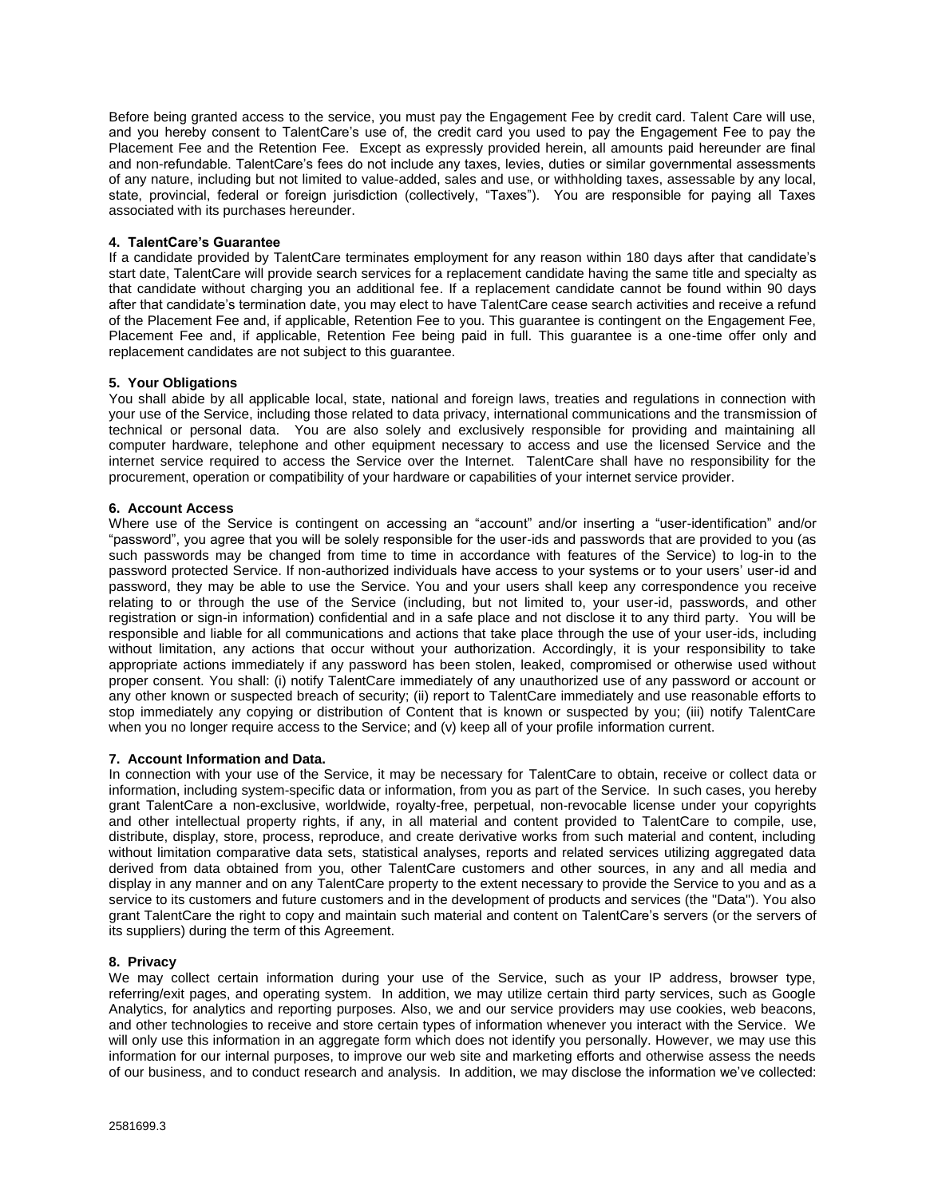Before being granted access to the service, you must pay the Engagement Fee by credit card. Talent Care will use, and you hereby consent to TalentCare's use of, the credit card you used to pay the Engagement Fee to pay the Placement Fee and the Retention Fee. Except as expressly provided herein, all amounts paid hereunder are final and non-refundable. TalentCare's fees do not include any taxes, levies, duties or similar governmental assessments of any nature, including but not limited to value-added, sales and use, or withholding taxes, assessable by any local, state, provincial, federal or foreign jurisdiction (collectively, "Taxes"). You are responsible for paying all Taxes associated with its purchases hereunder.

#### **4. TalentCare's Guarantee**

If a candidate provided by TalentCare terminates employment for any reason within 180 days after that candidate's start date, TalentCare will provide search services for a replacement candidate having the same title and specialty as that candidate without charging you an additional fee. If a replacement candidate cannot be found within 90 days after that candidate's termination date, you may elect to have TalentCare cease search activities and receive a refund of the Placement Fee and, if applicable, Retention Fee to you. This guarantee is contingent on the Engagement Fee, Placement Fee and, if applicable, Retention Fee being paid in full. This guarantee is a one-time offer only and replacement candidates are not subject to this guarantee.

## **5. Your Obligations**

You shall abide by all applicable local, state, national and foreign laws, treaties and regulations in connection with your use of the Service, including those related to data privacy, international communications and the transmission of technical or personal data. You are also solely and exclusively responsible for providing and maintaining all computer hardware, telephone and other equipment necessary to access and use the licensed Service and the internet service required to access the Service over the Internet. TalentCare shall have no responsibility for the procurement, operation or compatibility of your hardware or capabilities of your internet service provider.

## **6. Account Access**

Where use of the Service is contingent on accessing an "account" and/or inserting a "user-identification" and/or "password", you agree that you will be solely responsible for the user-ids and passwords that are provided to you (as such passwords may be changed from time to time in accordance with features of the Service) to log-in to the password protected Service. If non-authorized individuals have access to your systems or to your users' user-id and password, they may be able to use the Service. You and your users shall keep any correspondence you receive relating to or through the use of the Service (including, but not limited to, your user-id, passwords, and other registration or sign-in information) confidential and in a safe place and not disclose it to any third party. You will be responsible and liable for all communications and actions that take place through the use of your user-ids, including without limitation, any actions that occur without your authorization. Accordingly, it is your responsibility to take appropriate actions immediately if any password has been stolen, leaked, compromised or otherwise used without proper consent. You shall: (i) notify TalentCare immediately of any unauthorized use of any password or account or any other known or suspected breach of security; (ii) report to TalentCare immediately and use reasonable efforts to stop immediately any copying or distribution of Content that is known or suspected by you; (iii) notify TalentCare when you no longer require access to the Service; and (v) keep all of your profile information current.

#### **7. Account Information and Data.**

In connection with your use of the Service, it may be necessary for TalentCare to obtain, receive or collect data or information, including system-specific data or information, from you as part of the Service. In such cases, you hereby grant TalentCare a non-exclusive, worldwide, royalty-free, perpetual, non-revocable license under your copyrights and other intellectual property rights, if any, in all material and content provided to TalentCare to compile, use, distribute, display, store, process, reproduce, and create derivative works from such material and content, including without limitation comparative data sets, statistical analyses, reports and related services utilizing aggregated data derived from data obtained from you, other TalentCare customers and other sources, in any and all media and display in any manner and on any TalentCare property to the extent necessary to provide the Service to you and as a service to its customers and future customers and in the development of products and services (the "Data"). You also grant TalentCare the right to copy and maintain such material and content on TalentCare's servers (or the servers of its suppliers) during the term of this Agreement.

#### **8. Privacy**

We may collect certain information during your use of the Service, such as your IP address, browser type, referring/exit pages, and operating system. In addition, we may utilize certain third party services, such as Google Analytics, for analytics and reporting purposes. Also, we and our service providers may use cookies, web beacons, and other technologies to receive and store certain types of information whenever you interact with the Service. We will only use this information in an aggregate form which does not identify you personally. However, we may use this information for our internal purposes, to improve our web site and marketing efforts and otherwise assess the needs of our business, and to conduct research and analysis. In addition, we may disclose the information we've collected: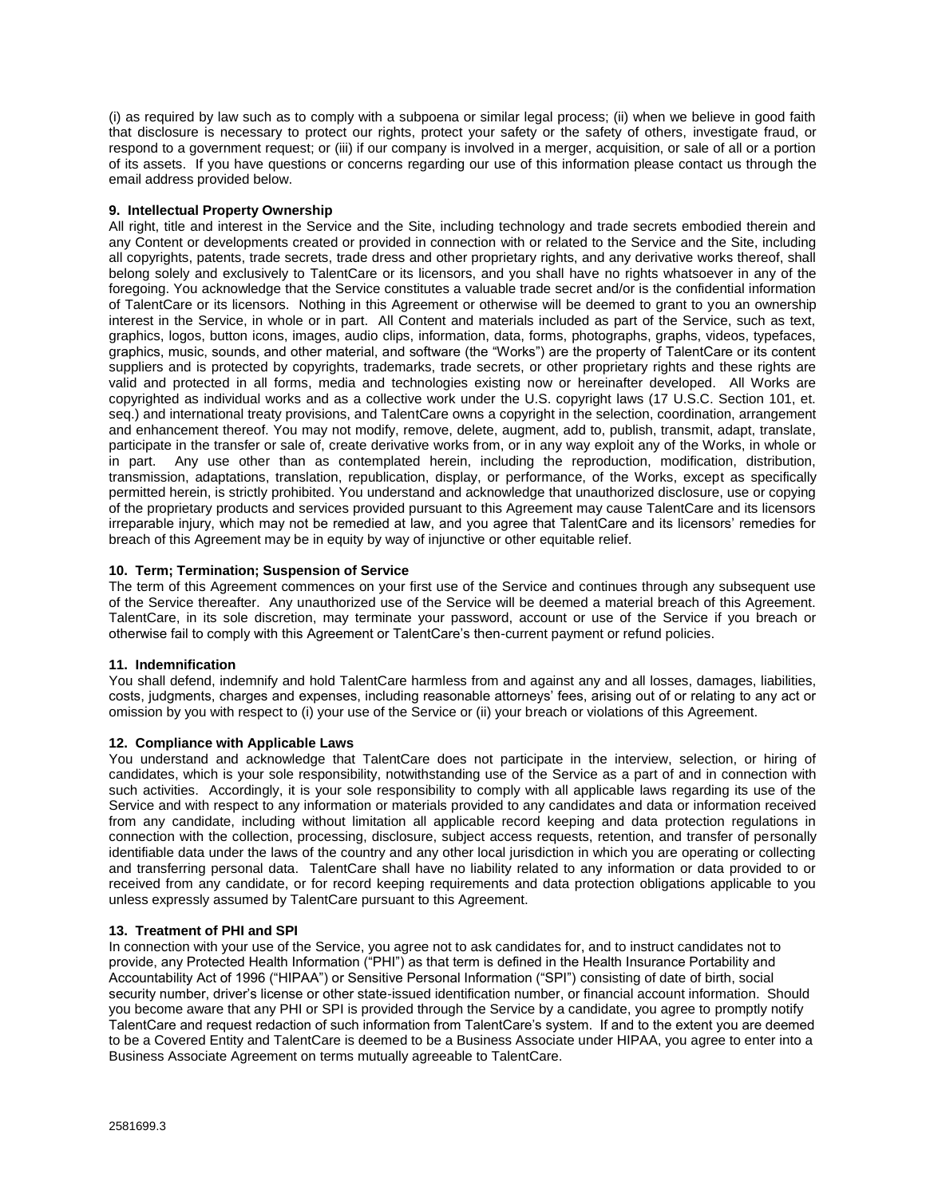(i) as required by law such as to comply with a subpoena or similar legal process; (ii) when we believe in good faith that disclosure is necessary to protect our rights, protect your safety or the safety of others, investigate fraud, or respond to a government request; or (iii) if our company is involved in a merger, acquisition, or sale of all or a portion of its assets. If you have questions or concerns regarding our use of this information please contact us through the email address provided below.

## **9. Intellectual Property Ownership**

All right, title and interest in the Service and the Site, including technology and trade secrets embodied therein and any Content or developments created or provided in connection with or related to the Service and the Site, including all copyrights, patents, trade secrets, trade dress and other proprietary rights, and any derivative works thereof, shall belong solely and exclusively to TalentCare or its licensors, and you shall have no rights whatsoever in any of the foregoing. You acknowledge that the Service constitutes a valuable trade secret and/or is the confidential information of TalentCare or its licensors. Nothing in this Agreement or otherwise will be deemed to grant to you an ownership interest in the Service, in whole or in part. All Content and materials included as part of the Service, such as text, graphics, logos, button icons, images, audio clips, information, data, forms, photographs, graphs, videos, typefaces, graphics, music, sounds, and other material, and software (the "Works") are the property of TalentCare or its content suppliers and is protected by copyrights, trademarks, trade secrets, or other proprietary rights and these rights are valid and protected in all forms, media and technologies existing now or hereinafter developed. All Works are copyrighted as individual works and as a collective work under the U.S. copyright laws (17 U.S.C. Section 101, et. seq.) and international treaty provisions, and TalentCare owns a copyright in the selection, coordination, arrangement and enhancement thereof. You may not modify, remove, delete, augment, add to, publish, transmit, adapt, translate, participate in the transfer or sale of, create derivative works from, or in any way exploit any of the Works, in whole or in part. Any use other than as contemplated herein, including the reproduction, modification, distribution, transmission, adaptations, translation, republication, display, or performance, of the Works, except as specifically permitted herein, is strictly prohibited. You understand and acknowledge that unauthorized disclosure, use or copying of the proprietary products and services provided pursuant to this Agreement may cause TalentCare and its licensors irreparable injury, which may not be remedied at law, and you agree that TalentCare and its licensors' remedies for breach of this Agreement may be in equity by way of injunctive or other equitable relief.

## **10. Term; Termination; Suspension of Service**

The term of this Agreement commences on your first use of the Service and continues through any subsequent use of the Service thereafter. Any unauthorized use of the Service will be deemed a material breach of this Agreement. TalentCare, in its sole discretion, may terminate your password, account or use of the Service if you breach or otherwise fail to comply with this Agreement or TalentCare's then-current payment or refund policies.

## **11. Indemnification**

You shall defend, indemnify and hold TalentCare harmless from and against any and all losses, damages, liabilities, costs, judgments, charges and expenses, including reasonable attorneys' fees, arising out of or relating to any act or omission by you with respect to (i) your use of the Service or (ii) your breach or violations of this Agreement.

## **12. Compliance with Applicable Laws**

You understand and acknowledge that TalentCare does not participate in the interview, selection, or hiring of candidates, which is your sole responsibility, notwithstanding use of the Service as a part of and in connection with such activities. Accordingly, it is your sole responsibility to comply with all applicable laws regarding its use of the Service and with respect to any information or materials provided to any candidates and data or information received from any candidate, including without limitation all applicable record keeping and data protection regulations in connection with the collection, processing, disclosure, subject access requests, retention, and transfer of personally identifiable data under the laws of the country and any other local jurisdiction in which you are operating or collecting and transferring personal data. TalentCare shall have no liability related to any information or data provided to or received from any candidate, or for record keeping requirements and data protection obligations applicable to you unless expressly assumed by TalentCare pursuant to this Agreement.

## **13. Treatment of PHI and SPI**

In connection with your use of the Service, you agree not to ask candidates for, and to instruct candidates not to provide, any Protected Health Information ("PHI") as that term is defined in the Health Insurance Portability and Accountability Act of 1996 ("HIPAA") or Sensitive Personal Information ("SPI") consisting of date of birth, social security number, driver's license or other state-issued identification number, or financial account information. Should you become aware that any PHI or SPI is provided through the Service by a candidate, you agree to promptly notify TalentCare and request redaction of such information from TalentCare's system. If and to the extent you are deemed to be a Covered Entity and TalentCare is deemed to be a Business Associate under HIPAA, you agree to enter into a Business Associate Agreement on terms mutually agreeable to TalentCare.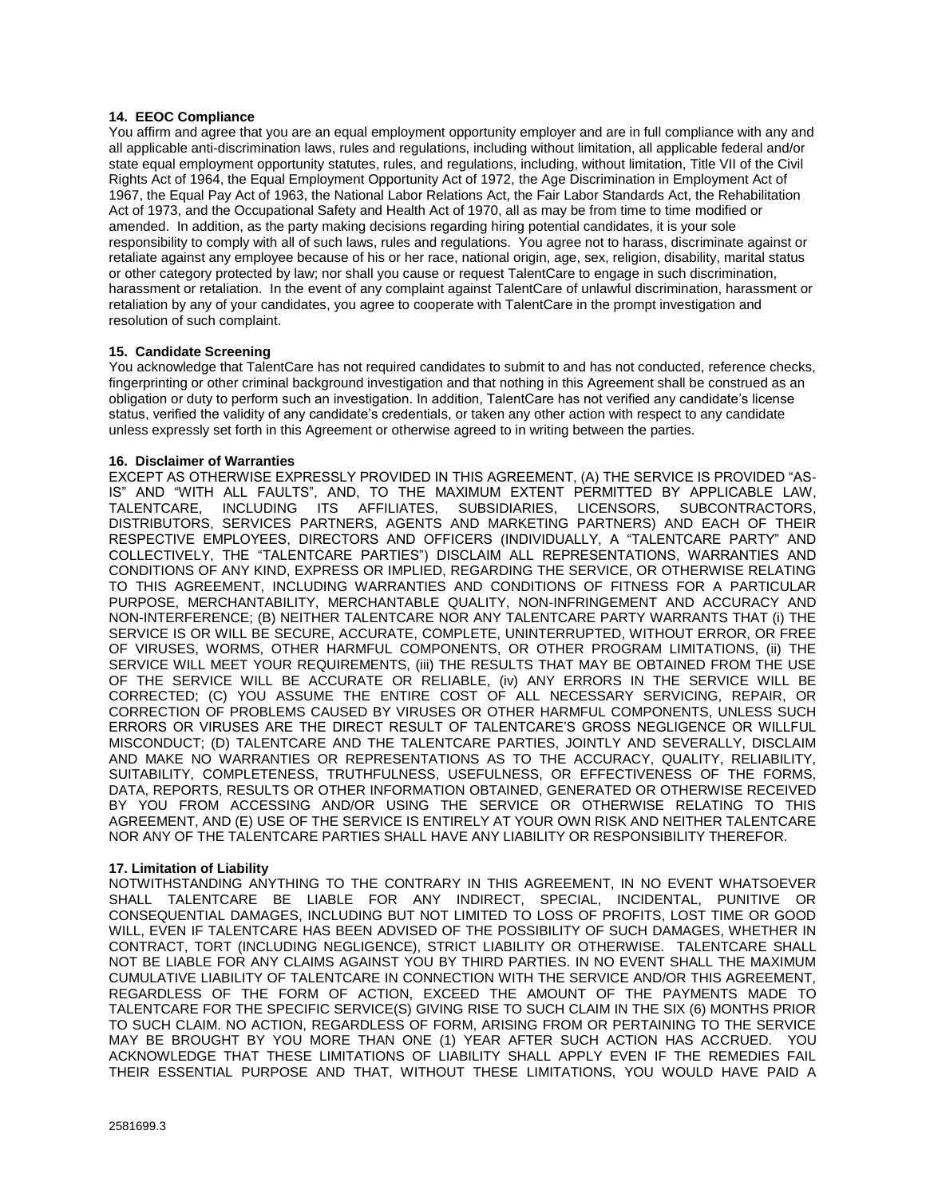## **14. EEOC Compliance**

You affirm and agree that you are an equal employment opportunity employer and are in full compliance with any and all applicable anti-discrimination laws, rules and regulations, including without limitation, all applicable federal and/or state equal employment opportunity statutes, rules, and regulations, including, without limitation, Title VII of the Civil Rights Act of 1964, the Equal Employment Opportunity Act of 1972, the Age Discrimination in Employment Act of 1967, the Equal Pay Act of 1963, the National Labor Relations Act, the Fair Labor Standards Act, the Rehabilitation Act of 1973, and the Occupational Safety and Health Act of 1970, all as may be from time to time modified or amended. In addition, as the party making decisions regarding hiring potential candidates, it is your sole responsibility to comply with all of such laws, rules and regulations. You agree not to harass, discriminate against or retaliate against any employee because of his or her race, national origin, age, sex, religion, disability, marital status or other category protected by law; nor shall you cause or request TalentCare to engage in such discrimination, harassment or retaliation. In the event of any complaint against TalentCare of unlawful discrimination, harassment or retaliation by any of your candidates, you agree to cooperate with TalentCare in the prompt investigation and resolution of such complaint.

# **15. Candidate Screening**

You acknowledge that TalentCare has not required candidates to submit to and has not conducted, reference checks, fingerprinting or other criminal background investigation and that nothing in this Agreement shall be construed as an obligation or duty to perform such an investigation. In addition, TalentCare has not verified any candidate's license status, verified the validity of any candidate's credentials, or taken any other action with respect to any candidate unless expressly set forth in this Agreement or otherwise agreed to in writing between the parties.

## **16. Disclaimer of Warranties**

EXCEPT AS OTHERWISE EXPRESSLY PROVIDED IN THIS AGREEMENT, (A) THE SERVICE IS PROVIDED "AS-IS" AND "WITH ALL FAULTS", AND, TO THE MAXIMUM EXTENT PERMITTED BY APPLICABLE LAW,<br>TALENTCARE, INCLUDING ITS AFFILIATES, SUBSIDIARIES, LICENSORS, SUBCONTRACTORS, SUBSIDIARIES, LICENSORS, SUBCONTRACTORS, DISTRIBUTORS, SERVICES PARTNERS, AGENTS AND MARKETING PARTNERS) AND EACH OF THEIR RESPECTIVE EMPLOYEES, DIRECTORS AND OFFICERS (INDIVIDUALLY, A "TALENTCARE PARTY" AND COLLECTIVELY, THE "TALENTCARE PARTIES") DISCLAIM ALL REPRESENTATIONS, WARRANTIES AND CONDITIONS OF ANY KIND, EXPRESS OR IMPLIED, REGARDING THE SERVICE, OR OTHERWISE RELATING TO THIS AGREEMENT, INCLUDING WARRANTIES AND CONDITIONS OF FITNESS FOR A PARTICULAR PURPOSE, MERCHANTABILITY, MERCHANTABLE QUALITY, NON-INFRINGEMENT AND ACCURACY AND NON-INTERFERENCE; (B) NEITHER TALENTCARE NOR ANY TALENTCARE PARTY WARRANTS THAT (i) THE SERVICE IS OR WILL BE SECURE, ACCURATE, COMPLETE, UNINTERRUPTED, WITHOUT ERROR, OR FREE OF VIRUSES, WORMS, OTHER HARMFUL COMPONENTS, OR OTHER PROGRAM LIMITATIONS, (ii) THE SERVICE WILL MEET YOUR REQUIREMENTS, (iii) THE RESULTS THAT MAY BE OBTAINED FROM THE USE OF THE SERVICE WILL BE ACCURATE OR RELIABLE, (iv) ANY ERRORS IN THE SERVICE WILL BE CORRECTED; (C) YOU ASSUME THE ENTIRE COST OF ALL NECESSARY SERVICING, REPAIR, OR CORRECTION OF PROBLEMS CAUSED BY VIRUSES OR OTHER HARMFUL COMPONENTS, UNLESS SUCH ERRORS OR VIRUSES ARE THE DIRECT RESULT OF TALENTCARE'S GROSS NEGLIGENCE OR WILLFUL MISCONDUCT; (D) TALENTCARE AND THE TALENTCARE PARTIES, JOINTLY AND SEVERALLY, DISCLAIM AND MAKE NO WARRANTIES OR REPRESENTATIONS AS TO THE ACCURACY, QUALITY, RELIABILITY, SUITABILITY, COMPLETENESS, TRUTHFULNESS, USEFULNESS, OR EFFECTIVENESS OF THE FORMS, DATA, REPORTS, RESULTS OR OTHER INFORMATION OBTAINED, GENERATED OR OTHERWISE RECEIVED BY YOU FROM ACCESSING AND/OR USING THE SERVICE OR OTHERWISE RELATING TO THIS AGREEMENT, AND (E) USE OF THE SERVICE IS ENTIRELY AT YOUR OWN RISK AND NEITHER TALENTCARE NOR ANY OF THE TALENTCARE PARTIES SHALL HAVE ANY LIABILITY OR RESPONSIBILITY THEREFOR.

## **17. Limitation of Liability**

NOTWITHSTANDING ANYTHING TO THE CONTRARY IN THIS AGREEMENT, IN NO EVENT WHATSOEVER SHALL TALENTCARE BE LIABLE FOR ANY INDIRECT, SPECIAL, INCIDENTAL, PUNITIVE OR CONSEQUENTIAL DAMAGES, INCLUDING BUT NOT LIMITED TO LOSS OF PROFITS, LOST TIME OR GOOD WILL, EVEN IF TALENTCARE HAS BEEN ADVISED OF THE POSSIBILITY OF SUCH DAMAGES, WHETHER IN CONTRACT, TORT (INCLUDING NEGLIGENCE), STRICT LIABILITY OR OTHERWISE. TALENTCARE SHALL NOT BE LIABLE FOR ANY CLAIMS AGAINST YOU BY THIRD PARTIES. IN NO EVENT SHALL THE MAXIMUM CUMULATIVE LIABILITY OF TALENTCARE IN CONNECTION WITH THE SERVICE AND/OR THIS AGREEMENT, REGARDLESS OF THE FORM OF ACTION, EXCEED THE AMOUNT OF THE PAYMENTS MADE TO TALENTCARE FOR THE SPECIFIC SERVICE(S) GIVING RISE TO SUCH CLAIM IN THE SIX (6) MONTHS PRIOR TO SUCH CLAIM. NO ACTION, REGARDLESS OF FORM, ARISING FROM OR PERTAINING TO THE SERVICE MAY BE BROUGHT BY YOU MORE THAN ONE (1) YEAR AFTER SUCH ACTION HAS ACCRUED. YOU ACKNOWLEDGE THAT THESE LIMITATIONS OF LIABILITY SHALL APPLY EVEN IF THE REMEDIES FAIL THEIR ESSENTIAL PURPOSE AND THAT, WITHOUT THESE LIMITATIONS, YOU WOULD HAVE PAID A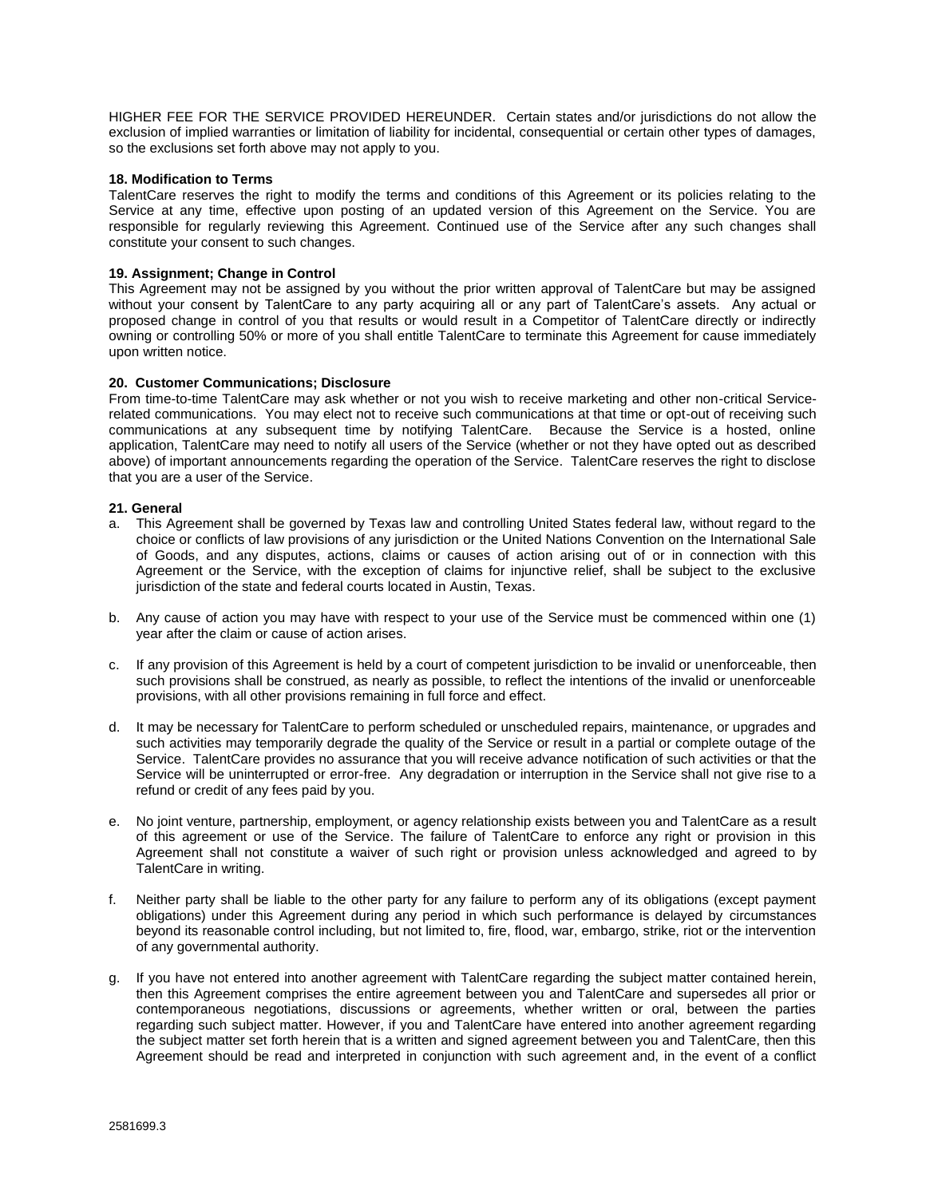HIGHER FEE FOR THE SERVICE PROVIDED HEREUNDER. Certain states and/or jurisdictions do not allow the exclusion of implied warranties or limitation of liability for incidental, consequential or certain other types of damages, so the exclusions set forth above may not apply to you.

#### **18. Modification to Terms**

TalentCare reserves the right to modify the terms and conditions of this Agreement or its policies relating to the Service at any time, effective upon posting of an updated version of this Agreement on the Service. You are responsible for regularly reviewing this Agreement. Continued use of the Service after any such changes shall constitute your consent to such changes.

# **19. Assignment; Change in Control**

This Agreement may not be assigned by you without the prior written approval of TalentCare but may be assigned without your consent by TalentCare to any party acquiring all or any part of TalentCare's assets. Any actual or proposed change in control of you that results or would result in a Competitor of TalentCare directly or indirectly owning or controlling 50% or more of you shall entitle TalentCare to terminate this Agreement for cause immediately upon written notice.

#### **20. Customer Communications; Disclosure**

From time-to-time TalentCare may ask whether or not you wish to receive marketing and other non-critical Servicerelated communications. You may elect not to receive such communications at that time or opt-out of receiving such communications at any subsequent time by notifying TalentCare. Because the Service is a hosted, online application, TalentCare may need to notify all users of the Service (whether or not they have opted out as described above) of important announcements regarding the operation of the Service. TalentCare reserves the right to disclose that you are a user of the Service.

#### **21. General**

- a. This Agreement shall be governed by Texas law and controlling United States federal law, without regard to the choice or conflicts of law provisions of any jurisdiction or the United Nations Convention on the International Sale of Goods, and any disputes, actions, claims or causes of action arising out of or in connection with this Agreement or the Service, with the exception of claims for injunctive relief, shall be subject to the exclusive jurisdiction of the state and federal courts located in Austin, Texas.
- b. Any cause of action you may have with respect to your use of the Service must be commenced within one (1) year after the claim or cause of action arises.
- c. If any provision of this Agreement is held by a court of competent jurisdiction to be invalid or unenforceable, then such provisions shall be construed, as nearly as possible, to reflect the intentions of the invalid or unenforceable provisions, with all other provisions remaining in full force and effect.
- d. It may be necessary for TalentCare to perform scheduled or unscheduled repairs, maintenance, or upgrades and such activities may temporarily degrade the quality of the Service or result in a partial or complete outage of the Service. TalentCare provides no assurance that you will receive advance notification of such activities or that the Service will be uninterrupted or error-free. Any degradation or interruption in the Service shall not give rise to a refund or credit of any fees paid by you.
- e. No joint venture, partnership, employment, or agency relationship exists between you and TalentCare as a result of this agreement or use of the Service. The failure of TalentCare to enforce any right or provision in this Agreement shall not constitute a waiver of such right or provision unless acknowledged and agreed to by TalentCare in writing.
- f. Neither party shall be liable to the other party for any failure to perform any of its obligations (except payment obligations) under this Agreement during any period in which such performance is delayed by circumstances beyond its reasonable control including, but not limited to, fire, flood, war, embargo, strike, riot or the intervention of any governmental authority.
- g. If you have not entered into another agreement with TalentCare regarding the subject matter contained herein, then this Agreement comprises the entire agreement between you and TalentCare and supersedes all prior or contemporaneous negotiations, discussions or agreements, whether written or oral, between the parties regarding such subject matter. However, if you and TalentCare have entered into another agreement regarding the subject matter set forth herein that is a written and signed agreement between you and TalentCare, then this Agreement should be read and interpreted in conjunction with such agreement and, in the event of a conflict